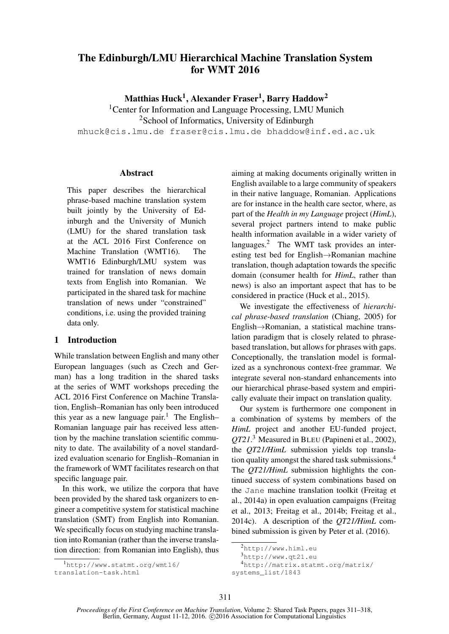# The Edinburgh/LMU Hierarchical Machine Translation System for WMT 2016

Matthias Huck $^1,$  Alexander Fraser $^1,$  Barry Haddow $^2$ 

<sup>1</sup> Center for Information and Language Processing, LMU Munich <sup>2</sup>School of Informatics, University of Edinburgh mhuck@cis.lmu.de fraser@cis.lmu.de bhaddow@inf.ed.ac.uk

Abstract

This paper describes the hierarchical phrase-based machine translation system built jointly by the University of Edinburgh and the University of Munich (LMU) for the shared translation task at the ACL 2016 First Conference on Machine Translation (WMT16). The WMT16 Edinburgh/LMU system was trained for translation of news domain texts from English into Romanian. We participated in the shared task for machine translation of news under "constrained" conditions, i.e. using the provided training data only.

## 1 Introduction

While translation between English and many other European languages (such as Czech and German) has a long tradition in the shared tasks at the series of WMT workshops preceding the ACL 2016 First Conference on Machine Translation, English–Romanian has only been introduced this year as a new language pair.<sup>1</sup> The English– Romanian language pair has received less attention by the machine translation scientific community to date. The availability of a novel standardized evaluation scenario for English–Romanian in the framework of WMT facilitates research on that specific language pair.

In this work, we utilize the corpora that have been provided by the shared task organizers to engineer a competitive system for statistical machine translation (SMT) from English into Romanian. We specifically focus on studying machine translation into Romanian (rather than the inverse translation direction: from Romanian into English), thus

<sup>1</sup>http://www.statmt.org/wmt16/ translation-task.html

aiming at making documents originally written in English available to a large community of speakers in their native language, Romanian. Applications are for instance in the health care sector, where, as part of the *Health in my Language* project (*HimL*), several project partners intend to make public health information available in a wider variety of languages.<sup>2</sup> The WMT task provides an interesting test bed for English→Romanian machine translation, though adaptation towards the specific domain (consumer health for *HimL*, rather than news) is also an important aspect that has to be considered in practice (Huck et al., 2015).

We investigate the effectiveness of *hierarchical phrase-based translation* (Chiang, 2005) for English→Romanian, a statistical machine translation paradigm that is closely related to phrasebased translation, but allows for phrases with gaps. Conceptionally, the translation model is formalized as a synchronous context-free grammar. We integrate several non-standard enhancements into our hierarchical phrase-based system and empirically evaluate their impact on translation quality.

Our system is furthermore one component in a combination of systems by members of the *HimL* project and another EU-funded project, *QT21*. <sup>3</sup> Measured in BLEU (Papineni et al., 2002), the *QT21/HimL* submission yields top translation quality amongst the shared task submissions.<sup>4</sup> The *QT21/HimL* submission highlights the continued success of system combinations based on the Jane machine translation toolkit (Freitag et al., 2014a) in open evaluation campaigns (Freitag et al., 2013; Freitag et al., 2014b; Freitag et al., 2014c). A description of the *QT21/HimL* combined submission is given by Peter et al. (2016).

<sup>4</sup>http://matrix.statmt.org/matrix/ systems\_list/1843

<sup>2</sup>http://www.himl.eu

<sup>3</sup>http://www.qt21.eu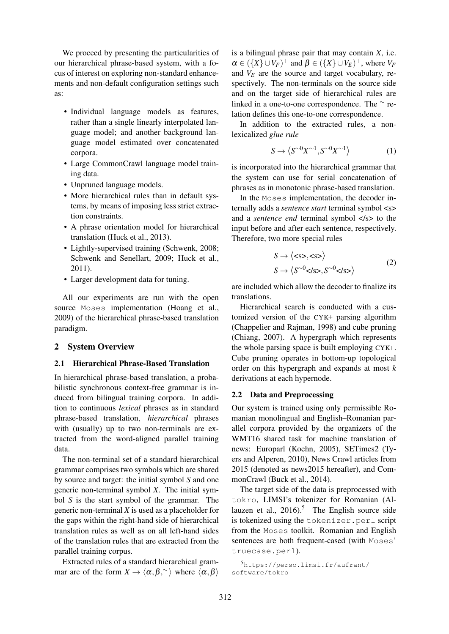We proceed by presenting the particularities of our hierarchical phrase-based system, with a focus of interest on exploring non-standard enhancements and non-default configuration settings such as:

- Individual language models as features, rather than a single linearly interpolated language model; and another background language model estimated over concatenated corpora.
- Large CommonCrawl language model training data.
- Unpruned language models.
- More hierarchical rules than in default systems, by means of imposing less strict extraction constraints.
- A phrase orientation model for hierarchical translation (Huck et al., 2013).
- Lightly-supervised training (Schwenk, 2008; Schwenk and Senellart, 2009; Huck et al., 2011).
- Larger development data for tuning.

All our experiments are run with the open source Moses implementation (Hoang et al., 2009) of the hierarchical phrase-based translation paradigm.

## 2 System Overview

### 2.1 Hierarchical Phrase-Based Translation

In hierarchical phrase-based translation, a probabilistic synchronous context-free grammar is induced from bilingual training corpora. In addition to continuous *lexical* phrases as in standard phrase-based translation, *hierarchical* phrases with (usually) up to two non-terminals are extracted from the word-aligned parallel training data.

The non-terminal set of a standard hierarchical grammar comprises two symbols which are shared by source and target: the initial symbol *S* and one generic non-terminal symbol *X*. The initial symbol *S* is the start symbol of the grammar. The generic non-terminal *X* is used as a placeholder for the gaps within the right-hand side of hierarchical translation rules as well as on all left-hand sides of the translation rules that are extracted from the parallel training corpus.

Extracted rules of a standard hierarchical grammar are of the form  $X \to \langle \alpha, \beta, \rangle$  where  $\langle \alpha, \beta \rangle$  is a bilingual phrase pair that may contain *X*, i.e.  $\alpha \in (\{X\} \cup V_F)^+$  and  $\beta \in (\{X\} \cup V_E)^+$ , where  $V_F$ and  $V<sub>E</sub>$  are the source and target vocabulary, respectively. The non-terminals on the source side and on the target side of hierarchical rules are linked in a one-to-one correspondence. The ∼ relation defines this one-to-one correspondence.

In addition to the extracted rules, a nonlexicalized *glue rule*

$$
S \to \left\langle S^{\sim 0} X^{\sim 1}, S^{\sim 0} X^{\sim 1} \right\rangle \tag{1}
$$

is incorporated into the hierarchical grammar that the system can use for serial concatenation of phrases as in monotonic phrase-based translation.

In the Moses implementation, the decoder internally adds a *sentence start* terminal symbol <s> and a *sentence end* terminal symbol </s> to the input before and after each sentence, respectively. Therefore, two more special rules

$$
S \to \langle \langle \langle s \rangle, \langle s \rangle \rangle
$$
  

$$
S \to \langle S^{\sim 0} \langle s \rangle, S^{\sim 0} \langle s \rangle \rangle
$$
 (2)

are included which allow the decoder to finalize its translations.

Hierarchical search is conducted with a customized version of the CYK+ parsing algorithm (Chappelier and Rajman, 1998) and cube pruning (Chiang, 2007). A hypergraph which represents the whole parsing space is built employing CYK+. Cube pruning operates in bottom-up topological order on this hypergraph and expands at most *k* derivations at each hypernode.

### 2.2 Data and Preprocessing

Our system is trained using only permissible Romanian monolingual and English–Romanian parallel corpora provided by the organizers of the WMT16 shared task for machine translation of news: Europarl (Koehn, 2005), SETimes2 (Tyers and Alperen, 2010), News Crawl articles from 2015 (denoted as news2015 hereafter), and CommonCrawl (Buck et al., 2014).

The target side of the data is preprocessed with tokro, LIMSI's tokenizer for Romanian (Allauzen et al.,  $2016$ .<sup>5</sup> The English source side is tokenized using the tokenizer.perl script from the Moses toolkit. Romanian and English sentences are both frequent-cased (with Moses' truecase.perl).

<sup>5</sup>https://perso.limsi.fr/aufrant/ software/tokro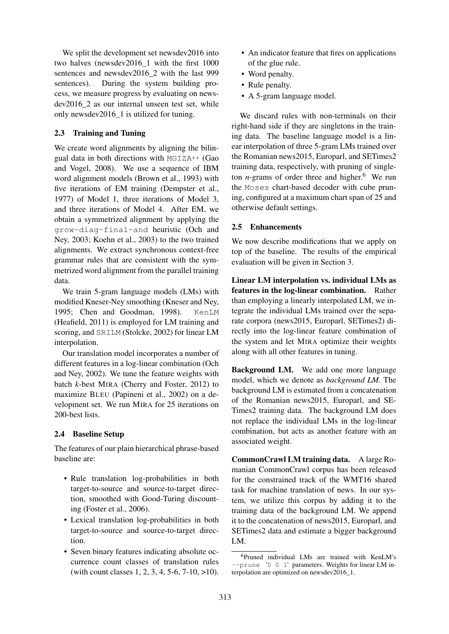We split the development set newsdev2016 into two halves (newsdev2016\_1 with the first 1000 sentences and newsdev2016 2 with the last 999 sentences). During the system building process, we measure progress by evaluating on newsdev2016\_2 as our internal unseen test set, while only newsdev2016\_1 is utilized for tuning.

## 2.3 Training and Tuning

We create word alignments by aligning the bilingual data in both directions with  $MGIZA++$  (Gao and Vogel, 2008). We use a sequence of IBM word alignment models (Brown et al., 1993) with five iterations of EM training (Dempster et al., 1977) of Model 1, three iterations of Model 3, and three iterations of Model 4. After EM, we obtain a symmetrized alignment by applying the grow-diag-final-and heuristic (Och and Ney, 2003; Koehn et al., 2003) to the two trained alignments. We extract synchronous context-free grammar rules that are consistent with the symmetrized word alignment from the parallel training data.

We train 5-gram language models (LMs) with modified Kneser-Ney smoothing (Kneser and Ney, 1995; Chen and Goodman, 1998). KenLM (Heafield, 2011) is employed for LM training and scoring, and SRILM (Stolcke, 2002) for linear LM interpolation.

Our translation model incorporates a number of different features in a log-linear combination (Och and Ney, 2002). We tune the feature weights with batch *k*-best MIRA (Cherry and Foster, 2012) to maximize BLEU (Papineni et al., 2002) on a development set. We run MIRA for 25 iterations on 200-best lists.

## 2.4 Baseline Setup

The features of our plain hierarchical phrase-based baseline are:

- Rule translation log-probabilities in both target-to-source and source-to-target direction, smoothed with Good-Turing discounting (Foster et al., 2006).
- Lexical translation log-probabilities in both target-to-source and source-to-target direction.
- Seven binary features indicating absolute occurrence count classes of translation rules (with count classes 1, 2, 3, 4, 5-6, 7-10, >10).
- An indicator feature that fires on applications of the glue rule.
- Word penalty.
- Rule penalty.
- A 5-gram language model.

We discard rules with non-terminals on their right-hand side if they are singletons in the training data. The baseline language model is a linear interpolation of three 5-gram LMs trained over the Romanian news2015, Europarl, and SETimes2 training data, respectively, with pruning of singleton  $n$ -grams of order three and higher.<sup>6</sup> We run the Moses chart-based decoder with cube pruning, configured at a maximum chart span of 25 and otherwise default settings.

## 2.5 Enhancements

We now describe modifications that we apply on top of the baseline. The results of the empirical evaluation will be given in Section 3.

Linear LM interpolation vs. individual LMs as features in the log-linear combination. Rather than employing a linearly interpolated LM, we integrate the individual LMs trained over the separate corpora (news2015, Europarl, SETimes2) directly into the log-linear feature combination of the system and let MIRA optimize their weights along with all other features in tuning.

Background LM. We add one more language model, which we denote as *background LM*. The background LM is estimated from a concatenation of the Romanian news2015, Europarl, and SE-Times2 training data. The background LM does not replace the individual LMs in the log-linear combination, but acts as another feature with an associated weight.

CommonCrawl LM training data. A large Romanian CommonCrawl corpus has been released for the constrained track of the WMT16 shared task for machine translation of news. In our system, we utilize this corpus by adding it to the training data of the background LM. We append it to the concatenation of news2015, Europarl, and SETimes2 data and estimate a bigger background LM.

<sup>6</sup>Pruned individual LMs are trained with KenLM's --prune '0 0 1' parameters. Weights for linear LM interpolation are optimized on newsdev2016\_1.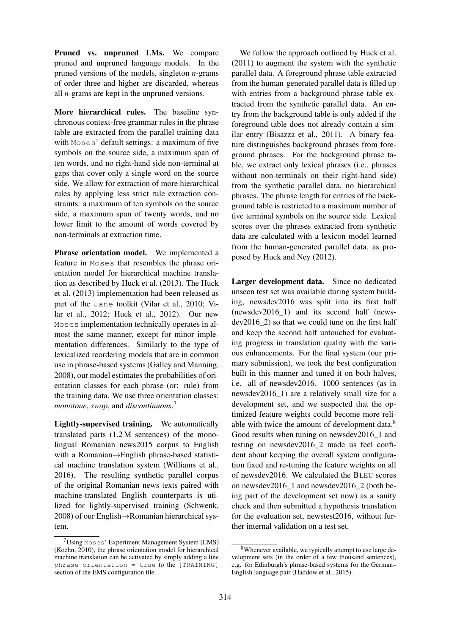Pruned vs. unpruned LMs. We compare pruned and unpruned language models. In the pruned versions of the models, singleton *n*-grams of order three and higher are discarded, whereas all *n*-grams are kept in the unpruned versions.

More hierarchical rules. The baseline synchronous context-free grammar rules in the phrase table are extracted from the parallel training data with Moses' default settings: a maximum of five symbols on the source side, a maximum span of ten words, and no right-hand side non-terminal at gaps that cover only a single word on the source side. We allow for extraction of more hierarchical rules by applying less strict rule extraction constraints: a maximum of ten symbols on the source side, a maximum span of twenty words, and no lower limit to the amount of words covered by non-terminals at extraction time.

Phrase orientation model. We implemented a feature in Moses that resembles the phrase orientation model for hierarchical machine translation as described by Huck et al. (2013). The Huck et al. (2013) implementation had been released as part of the Jane toolkit (Vilar et al., 2010; Vilar et al., 2012; Huck et al., 2012). Our new Moses implementation technically operates in almost the same manner, except for minor implementation differences. Similarly to the type of lexicalized reordering models that are in common use in phrase-based systems (Galley and Manning, 2008), our model estimates the probabilities of orientation classes for each phrase (or: rule) from the training data. We use three orientation classes: *monotone*, *swap*, and *discontinuous*. 7

Lightly-supervised training. We automatically translated parts (1.2 M sentences) of the monolingual Romanian news2015 corpus to English with a Romanian→English phrase-based statistical machine translation system (Williams et al., 2016). The resulting synthetic parallel corpus of the original Romanian news texts paired with machine-translated English counterparts is utilized for lightly-supervised training (Schwenk, 2008) of our English→Romanian hierarchical system.

We follow the approach outlined by Huck et al. (2011) to augment the system with the synthetic parallel data. A foreground phrase table extracted from the human-generated parallel data is filled up with entries from a background phrase table extracted from the synthetic parallel data. An entry from the background table is only added if the foreground table does not already contain a similar entry (Bisazza et al., 2011). A binary feature distinguishes background phrases from foreground phrases. For the background phrase table, we extract only lexical phrases (i.e., phrases without non-terminals on their right-hand side) from the synthetic parallel data, no hierarchical phrases. The phrase length for entries of the background table is restricted to a maximum number of five terminal symbols on the source side. Lexical scores over the phrases extracted from synthetic data are calculated with a lexicon model learned from the human-generated parallel data, as proposed by Huck and Ney (2012).

Larger development data. Since no dedicated unseen test set was available during system building, newsdev2016 was split into its first half (newsdev2016\_1) and its second half (newsdev2016\_2) so that we could tune on the first half and keep the second half untouched for evaluating progress in translation quality with the various enhancements. For the final system (our primary submission), we took the best configuration built in this manner and tuned it on both halves, i.e. all of newsdev2016. 1000 sentences (as in newsdev2016\_1) are a relatively small size for a development set, and we suspected that the optimized feature weights could become more reliable with twice the amount of development data.<sup>8</sup> Good results when tuning on newsdev2016\_1 and testing on newsdev2016\_2 made us feel confident about keeping the overall system configuration fixed and re-tuning the feature weights on all of newsdev2016. We calculated the BLEU scores on newsdev2016\_1 and newsdev2016\_2 (both being part of the development set now) as a sanity check and then submitted a hypothesis translation for the evaluation set, newstest2016, without further internal validation on a test set.

 $7$ Using Moses' Experiment Management System (EMS) (Koehn, 2010), the phrase orientation model for hierarchical machine translation can be activated by simply adding a line  $phrase-orientation = true to the [TRAINING]$ section of the EMS configuration file.

<sup>8</sup>Whenever available, we typically attempt to use large development sets (in the order of a few thousand sentences), e.g. for Edinburgh's phrase-based systems for the German– English language pair (Haddow et al., 2015).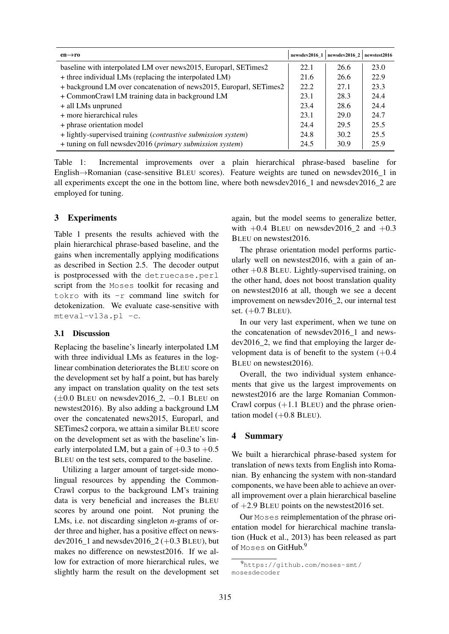| $en \rightarrow ro$                                                | newsdev2016 1 | newsdev2016 2 | newstest2016 |
|--------------------------------------------------------------------|---------------|---------------|--------------|
| baseline with interpolated LM over news2015, Europarl, SETimes2    | 22.1          | 26.6          | 23.0         |
| + three individual LMs (replacing the interpolated LM)             | 21.6          | 26.6          | 22.9         |
| + background LM over concatenation of news2015, Europarl, SETimes2 | 22.2          | 27.1          | 23.3         |
| + CommonCrawl LM training data in background LM                    | 23.1          | 28.3          | 24.4         |
| + all LMs unpruned                                                 | 23.4          | 28.6          | 24.4         |
| + more hierarchical rules                                          | 23.1          | 29.0          | 24.7         |
| + phrase orientation model                                         | 24.4          | 29.5          | 25.5         |
| + lightly-supervised training (contrastive submission system)      | 24.8          | 30.2          | 25.5         |
| + tuning on full newsdev2016 (primary submission system)           | 24.5          | 30.9          | 25.9         |

Table 1: Incremental improvements over a plain hierarchical phrase-based baseline for English→Romanian (case-sensitive BLEU scores). Feature weights are tuned on newsdev2016\_1 in all experiments except the one in the bottom line, where both newsdev2016\_1 and newsdev2016\_2 are employed for tuning.

## 3 Experiments

Table 1 presents the results achieved with the plain hierarchical phrase-based baseline, and the gains when incrementally applying modifications as described in Section 2.5. The decoder output is postprocessed with the detruecase.perl script from the Moses toolkit for recasing and tokro with its -r command line switch for detokenization. We evaluate case-sensitive with mteval-v13a.pl -c.

### 3.1 Discussion

Replacing the baseline's linearly interpolated LM with three individual LMs as features in the loglinear combination deteriorates the BLEU score on the development set by half a point, but has barely any impact on translation quality on the test sets (±0.0 BLEU on newsdev2016\_2, −0.1 BLEU on newstest2016). By also adding a background LM over the concatenated news2015, Europarl, and SETimes2 corpora, we attain a similar BLEU score on the development set as with the baseline's linearly interpolated LM, but a gain of  $+0.3$  to  $+0.5$ BLEU on the test sets, compared to the baseline.

Utilizing a larger amount of target-side monolingual resources by appending the Common-Crawl corpus to the background LM's training data is very beneficial and increases the BLEU scores by around one point. Not pruning the LMs, i.e. not discarding singleton *n*-grams of order three and higher, has a positive effect on newsdev2016 1 and newsdev2016  $2 (+0.3$  BLEU), but makes no difference on newstest2016. If we allow for extraction of more hierarchical rules, we slightly harm the result on the development set again, but the model seems to generalize better, with  $+0.4$  BLEU on newsdev2016 2 and  $+0.3$ BLEU on newstest2016.

The phrase orientation model performs particularly well on newstest2016, with a gain of another +0.8 BLEU. Lightly-supervised training, on the other hand, does not boost translation quality on newstest2016 at all, though we see a decent improvement on newsdev2016\_2, our internal test set. (+0.7 BLEU).

In our very last experiment, when we tune on the concatenation of newsdev2016\_1 and newsdev2016\_2, we find that employing the larger development data is of benefit to the system  $(+0.4)$ BLEU on newstest2016).

Overall, the two individual system enhancements that give us the largest improvements on newstest2016 are the large Romanian Common-Crawl corpus  $(+1.1$  BLEU) and the phrase orientation model  $(+0.8$  BLEU).

### 4 Summary

We built a hierarchical phrase-based system for translation of news texts from English into Romanian. By enhancing the system with non-standard components, we have been able to achieve an overall improvement over a plain hierarchical baseline of  $+2.9$  BLEU points on the newstest 2016 set.

Our Moses reimplementation of the phrase orientation model for hierarchical machine translation (Huck et al., 2013) has been released as part of Moses on GitHub.<sup>9</sup>

<sup>9</sup>https://github.com/moses-smt/ mosesdecoder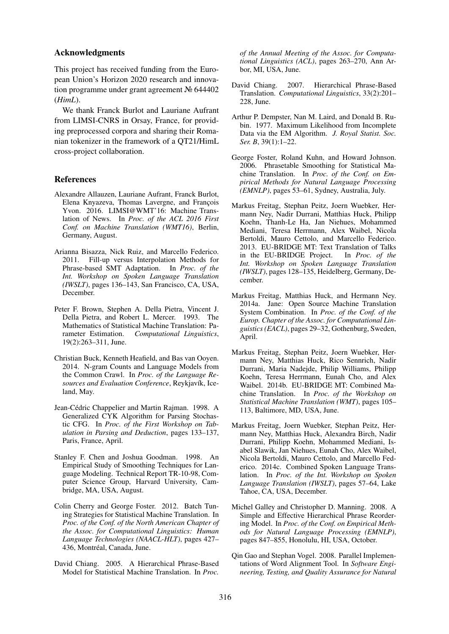#### Acknowledgments

This project has received funding from the European Union's Horizon 2020 research and innovation programme under grant agreement № 644402 (*HimL*).

We thank Franck Burlot and Lauriane Aufrant from LIMSI-CNRS in Orsay, France, for providing preprocessed corpora and sharing their Romanian tokenizer in the framework of a QT21/HimL cross-project collaboration.

### **References**

- Alexandre Allauzen, Lauriane Aufrant, Franck Burlot, Elena Knyazeva, Thomas Lavergne, and François Yvon. 2016. LIMSI@WMT'16: Machine Translation of News. In *Proc. of the ACL 2016 First Conf. on Machine Translation (WMT16)*, Berlin, Germany, August.
- Arianna Bisazza, Nick Ruiz, and Marcello Federico. 2011. Fill-up versus Interpolation Methods for Phrase-based SMT Adaptation. In *Proc. of the Int. Workshop on Spoken Language Translation (IWSLT)*, pages 136–143, San Francisco, CA, USA, December.
- Peter F. Brown, Stephen A. Della Pietra, Vincent J. Della Pietra, and Robert L. Mercer. 1993. The Mathematics of Statistical Machine Translation: Parameter Estimation. *Computational Linguistics*, 19(2):263–311, June.
- Christian Buck, Kenneth Heafield, and Bas van Ooyen. 2014. N-gram Counts and Language Models from the Common Crawl. In *Proc. of the Language Resources and Evaluation Conference*, Reykjavík, Iceland, May.
- Jean-Cédric Chappelier and Martin Rajman. 1998. A Generalized CYK Algorithm for Parsing Stochastic CFG. In *Proc. of the First Workshop on Tabulation in Parsing and Deduction*, pages 133–137, Paris, France, April.
- Stanley F. Chen and Joshua Goodman. 1998. An Empirical Study of Smoothing Techniques for Language Modeling. Technical Report TR-10-98, Computer Science Group, Harvard University, Cambridge, MA, USA, August.
- Colin Cherry and George Foster. 2012. Batch Tuning Strategies for Statistical Machine Translation. In *Proc. of the Conf. of the North American Chapter of the Assoc. for Computational Linguistics: Human Language Technologies (NAACL-HLT)*, pages 427– 436, Montréal, Canada, June.
- David Chiang. 2005. A Hierarchical Phrase-Based Model for Statistical Machine Translation. In *Proc.*

*of the Annual Meeting of the Assoc. for Computational Linguistics (ACL)*, pages 263–270, Ann Arbor, MI, USA, June.

- David Chiang. 2007. Hierarchical Phrase-Based Translation. *Computational Linguistics*, 33(2):201– 228, June.
- Arthur P. Dempster, Nan M. Laird, and Donald B. Rubin. 1977. Maximum Likelihood from Incomplete Data via the EM Algorithm. *J. Royal Statist. Soc. Ser. B*, 39(1):1–22.
- George Foster, Roland Kuhn, and Howard Johnson. 2006. Phrasetable Smoothing for Statistical Machine Translation. In *Proc. of the Conf. on Empirical Methods for Natural Language Processing (EMNLP)*, pages 53–61, Sydney, Australia, July.
- Markus Freitag, Stephan Peitz, Joern Wuebker, Hermann Ney, Nadir Durrani, Matthias Huck, Philipp Koehn, Thanh-Le Ha, Jan Niehues, Mohammed Mediani, Teresa Herrmann, Alex Waibel, Nicola Bertoldi, Mauro Cettolo, and Marcello Federico. 2013. EU-BRIDGE MT: Text Translation of Talks in the EU-BRIDGE Project. In *Proc. of the Int. Workshop on Spoken Language Translation (IWSLT)*, pages 128–135, Heidelberg, Germany, December.
- Markus Freitag, Matthias Huck, and Hermann Ney. 2014a. Jane: Open Source Machine Translation System Combination. In *Proc. of the Conf. of the Europ. Chapter of the Assoc. for Computational Linguistics (EACL)*, pages 29–32, Gothenburg, Sweden, April.
- Markus Freitag, Stephan Peitz, Joern Wuebker, Hermann Ney, Matthias Huck, Rico Sennrich, Nadir Durrani, Maria Nadejde, Philip Williams, Philipp Koehn, Teresa Herrmann, Eunah Cho, and Alex Waibel. 2014b. EU-BRIDGE MT: Combined Machine Translation. In *Proc. of the Workshop on Statistical Machine Translation (WMT)*, pages 105– 113, Baltimore, MD, USA, June.
- Markus Freitag, Joern Wuebker, Stephan Peitz, Hermann Ney, Matthias Huck, Alexandra Birch, Nadir Durrani, Philipp Koehn, Mohammed Mediani, Isabel Slawik, Jan Niehues, Eunah Cho, Alex Waibel, Nicola Bertoldi, Mauro Cettolo, and Marcello Federico. 2014c. Combined Spoken Language Translation. In *Proc. of the Int. Workshop on Spoken Language Translation (IWSLT)*, pages 57–64, Lake Tahoe, CA, USA, December.
- Michel Galley and Christopher D. Manning. 2008. A Simple and Effective Hierarchical Phrase Reordering Model. In *Proc. of the Conf. on Empirical Methods for Natural Language Processing (EMNLP)*, pages 847–855, Honolulu, HI, USA, October.
- Qin Gao and Stephan Vogel. 2008. Parallel Implementations of Word Alignment Tool. In *Software Engineering, Testing, and Quality Assurance for Natural*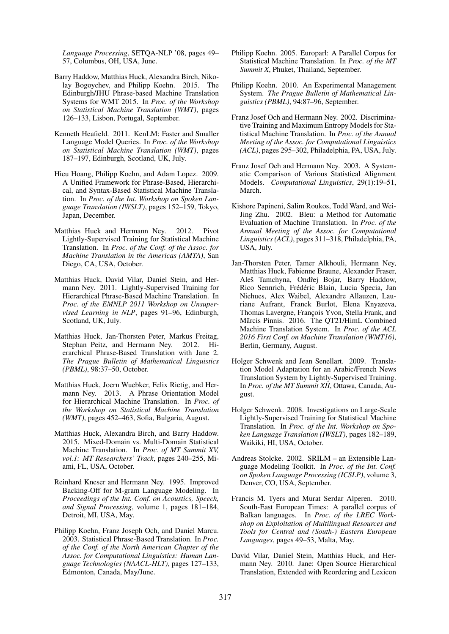*Language Processing*, SETQA-NLP '08, pages 49– 57, Columbus, OH, USA, June.

- Barry Haddow, Matthias Huck, Alexandra Birch, Nikolay Bogoychev, and Philipp Koehn. 2015. The Edinburgh/JHU Phrase-based Machine Translation Systems for WMT 2015. In *Proc. of the Workshop on Statistical Machine Translation (WMT)*, pages 126–133, Lisbon, Portugal, September.
- Kenneth Heafield. 2011. KenLM: Faster and Smaller Language Model Queries. In *Proc. of the Workshop on Statistical Machine Translation (WMT)*, pages 187–197, Edinburgh, Scotland, UK, July.
- Hieu Hoang, Philipp Koehn, and Adam Lopez. 2009. A Unified Framework for Phrase-Based, Hierarchical, and Syntax-Based Statistical Machine Translation. In *Proc. of the Int. Workshop on Spoken Language Translation (IWSLT)*, pages 152–159, Tokyo, Japan, December.
- Matthias Huck and Hermann Ney. 2012. Pivot Lightly-Supervised Training for Statistical Machine Translation. In *Proc. of the Conf. of the Assoc. for Machine Translation in the Americas (AMTA)*, San Diego, CA, USA, October.
- Matthias Huck, David Vilar, Daniel Stein, and Hermann Ney. 2011. Lightly-Supervised Training for Hierarchical Phrase-Based Machine Translation. In *Proc. of the EMNLP 2011 Workshop on Unsupervised Learning in NLP*, pages 91–96, Edinburgh, Scotland, UK, July.
- Matthias Huck, Jan-Thorsten Peter, Markus Freitag, Stephan Peitz, and Hermann Ney. 2012. Hierarchical Phrase-Based Translation with Jane 2. *The Prague Bulletin of Mathematical Linguistics (PBML)*, 98:37–50, October.
- Matthias Huck, Joern Wuebker, Felix Rietig, and Hermann Ney. 2013. A Phrase Orientation Model for Hierarchical Machine Translation. In *Proc. of the Workshop on Statistical Machine Translation (WMT)*, pages 452–463, Sofia, Bulgaria, August.
- Matthias Huck, Alexandra Birch, and Barry Haddow. 2015. Mixed-Domain vs. Multi-Domain Statistical Machine Translation. In *Proc. of MT Summit XV, vol.1: MT Researchers' Track*, pages 240–255, Miami, FL, USA, October.
- Reinhard Kneser and Hermann Ney. 1995. Improved Backing-Off for M-gram Language Modeling. In *Proceedings of the Int. Conf. on Acoustics, Speech, and Signal Processing*, volume 1, pages 181–184, Detroit, MI, USA, May.
- Philipp Koehn, Franz Joseph Och, and Daniel Marcu. 2003. Statistical Phrase-Based Translation. In *Proc. of the Conf. of the North American Chapter of the Assoc. for Computational Linguistics: Human Language Technologies (NAACL-HLT)*, pages 127–133, Edmonton, Canada, May/June.
- Philipp Koehn. 2005. Europarl: A Parallel Corpus for Statistical Machine Translation. In *Proc. of the MT Summit X*, Phuket, Thailand, September.
- Philipp Koehn. 2010. An Experimental Management System. *The Prague Bulletin of Mathematical Linguistics (PBML)*, 94:87–96, September.
- Franz Josef Och and Hermann Ney. 2002. Discriminative Training and Maximum Entropy Models for Statistical Machine Translation. In *Proc. of the Annual Meeting of the Assoc. for Computational Linguistics (ACL)*, pages 295–302, Philadelphia, PA, USA, July.
- Franz Josef Och and Hermann Ney. 2003. A Systematic Comparison of Various Statistical Alignment Models. *Computational Linguistics*, 29(1):19–51, March.
- Kishore Papineni, Salim Roukos, Todd Ward, and Wei-Jing Zhu. 2002. Bleu: a Method for Automatic Evaluation of Machine Translation. In *Proc. of the Annual Meeting of the Assoc. for Computational Linguistics (ACL)*, pages 311–318, Philadelphia, PA, USA, July.
- Jan-Thorsten Peter, Tamer Alkhouli, Hermann Ney, Matthias Huck, Fabienne Braune, Alexander Fraser, Aleš Tamchyna, Ondřej Bojar, Barry Haddow, Rico Sennrich, Frédéric Blain, Lucia Specia, Jan Niehues, Alex Waibel, Alexandre Allauzen, Lauriane Aufrant, Franck Burlot, Elena Knyazeva, Thomas Lavergne, François Yvon, Stella Frank, and Mārcis Pinnis. 2016. The QT21/HimL Combined Machine Translation System. In *Proc. of the ACL 2016 First Conf. on Machine Translation (WMT16)*, Berlin, Germany, August.
- Holger Schwenk and Jean Senellart. 2009. Translation Model Adaptation for an Arabic/French News Translation System by Lightly-Supervised Training. In *Proc. of the MT Summit XII*, Ottawa, Canada, August.
- Holger Schwenk. 2008. Investigations on Large-Scale Lightly-Supervised Training for Statistical Machine Translation. In *Proc. of the Int. Workshop on Spoken Language Translation (IWSLT)*, pages 182–189, Waikiki, HI, USA, October.
- Andreas Stolcke. 2002. SRILM an Extensible Language Modeling Toolkit. In *Proc. of the Int. Conf. on Spoken Language Processing (ICSLP)*, volume 3, Denver, CO, USA, September.
- Francis M. Tyers and Murat Serdar Alperen. 2010. South-East European Times: A parallel corpus of Balkan languages. In *Proc. of the LREC Workshop on Exploitation of Multilingual Resources and Tools for Central and (South-) Eastern European Languages*, pages 49–53, Malta, May.
- David Vilar, Daniel Stein, Matthias Huck, and Hermann Ney. 2010. Jane: Open Source Hierarchical Translation, Extended with Reordering and Lexicon